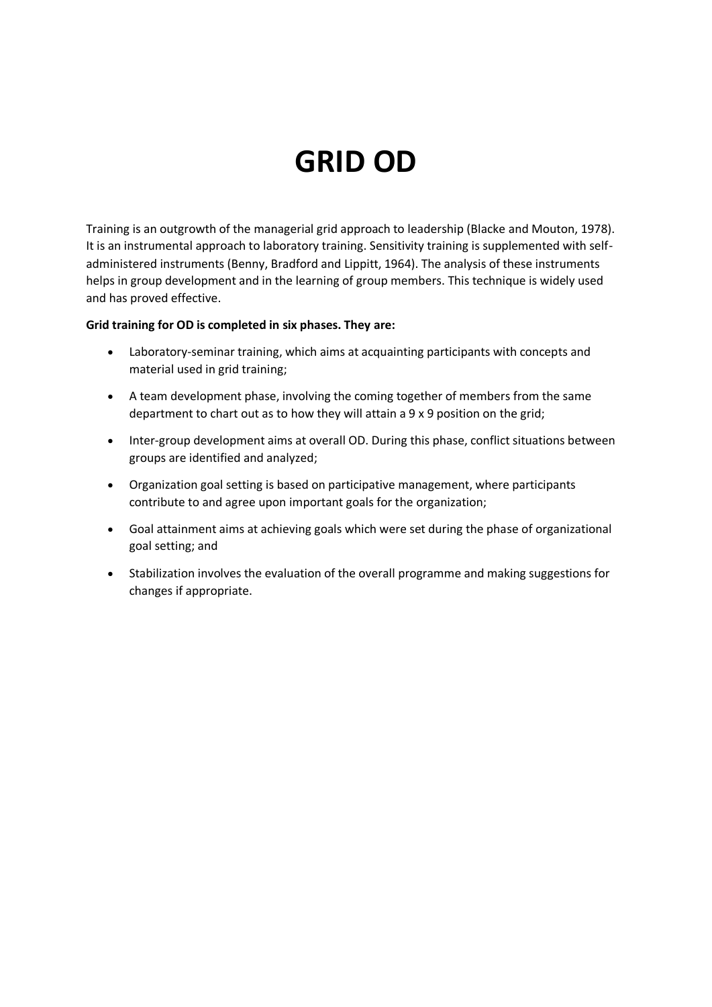# **GRID OD**

Training is an outgrowth of the managerial grid approach to leadership (Blacke and Mouton, 1978). It is an instrumental approach to laboratory training. Sensitivity training is supplemented with selfadministered instruments (Benny, Bradford and Lippitt, 1964). The analysis of these instruments helps in group development and in the learning of group members. This technique is widely used and has proved effective.

#### **Grid training for OD is completed in six phases. They are:**

- Laboratory-seminar training, which aims at acquainting participants with concepts and material used in grid training;
- A team development phase, involving the coming together of members from the same department to chart out as to how they will attain a 9 x 9 position on the grid;
- Inter-group development aims at overall OD. During this phase, conflict situations between groups are identified and analyzed;
- Organization goal setting is based on participative management, where participants contribute to and agree upon important goals for the organization;
- Goal attainment aims at achieving goals which were set during the phase of organizational goal setting; and
- Stabilization involves the evaluation of the overall programme and making suggestions for changes if appropriate.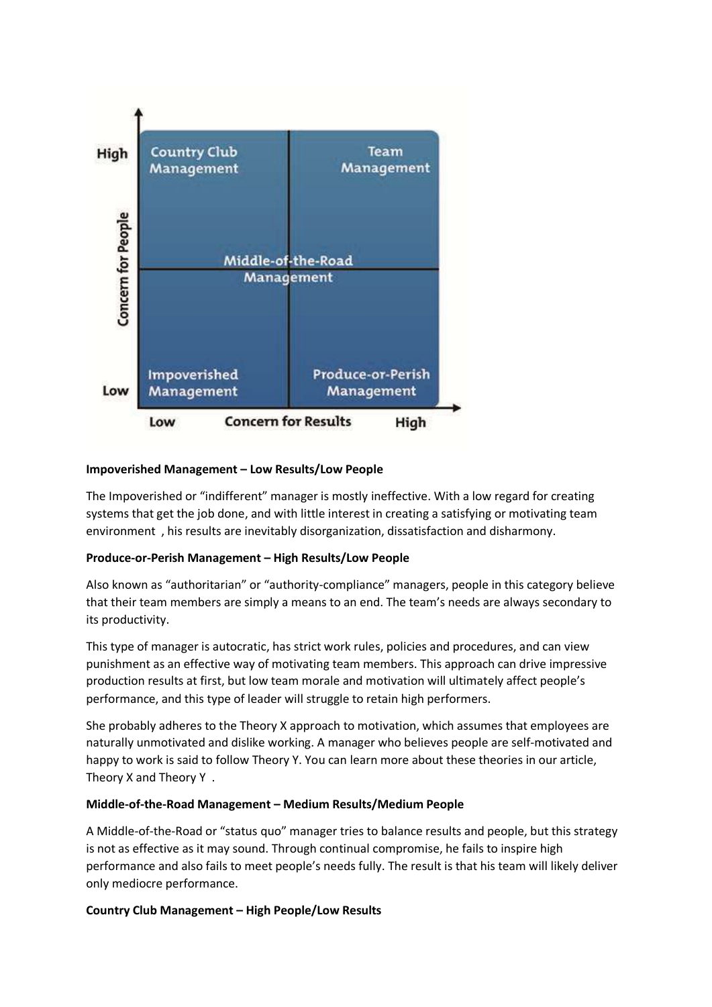

## **Impoverished Management – Low Results/Low People**

The Impoverished or "indifferent" manager is mostly ineffective. With a low regard for creating systems that get the job done, and with little interest in creating a satisfying or motivating team environment , his results are inevitably disorganization, dissatisfaction and disharmony.

#### **Produce-or-Perish Management – High Results/Low People**

Also known as "authoritarian" or "authority-compliance" managers, people in this category believe that their team members are simply a means to an end. The team's needs are always secondary to its productivity.

This type of manager is autocratic, has strict work rules, policies and procedures, and can view punishment as an effective way of motivating team members. This approach can drive impressive production results at first, but low team morale and motivation will ultimately affect people's performance, and this type of leader will struggle to retain high performers.

She probably adheres to the Theory X approach to motivation, which assumes that employees are naturally unmotivated and dislike working. A manager who believes people are self-motivated and happy to work is said to follow Theory Y. You can learn more about these theories in our article, Theory X and Theory Y .

#### **Middle-of-the-Road Management – Medium Results/Medium People**

A Middle-of-the-Road or "status quo" manager tries to balance results and people, but this strategy is not as effective as it may sound. Through continual compromise, he fails to inspire high performance and also fails to meet people's needs fully. The result is that his team will likely deliver only mediocre performance.

#### **Country Club Management – High People/Low Results**